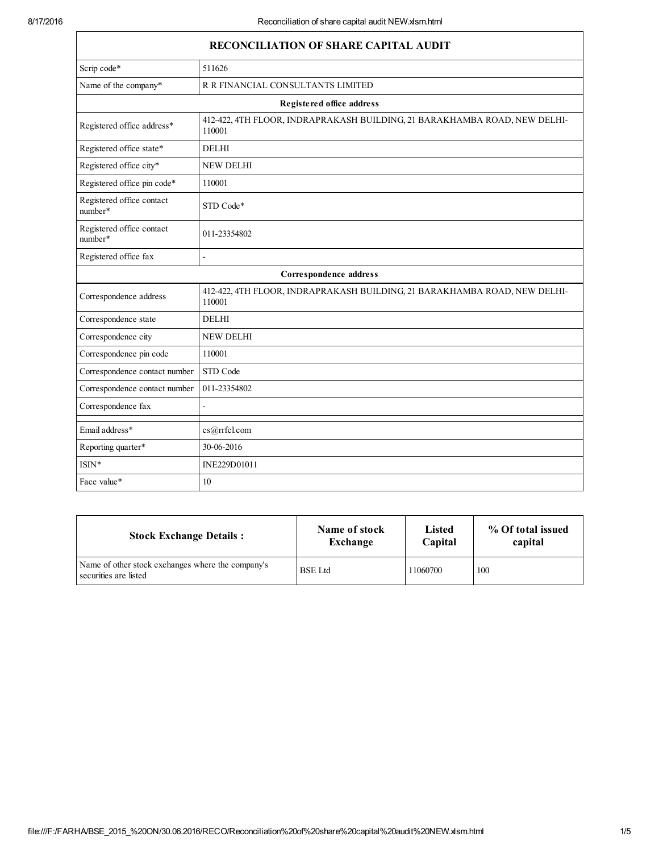Г

| RECONCILIATION OF SHARE CAPITAL AUDIT |                                                                                     |  |
|---------------------------------------|-------------------------------------------------------------------------------------|--|
| Scrip code*                           | 511626                                                                              |  |
| Name of the company*                  | R R FINANCIAL CONSULTANTS LIMITED                                                   |  |
|                                       | Registered office address                                                           |  |
| Registered office address*            | 412-422, 4TH FLOOR, INDRAPRAKASH BUILDING, 21 BARAKHAMBA ROAD, NEW DELHI-<br>110001 |  |
| Registered office state*              | <b>DELHI</b>                                                                        |  |
| Registered office city*               | <b>NEW DELHI</b>                                                                    |  |
| Registered office pin code*           | 110001                                                                              |  |
| Registered office contact<br>number*  | STD Code*                                                                           |  |
| Registered office contact<br>number*  | 011-23354802                                                                        |  |
| Registered office fax                 | L.                                                                                  |  |
|                                       | Correspondence address                                                              |  |
| Correspondence address                | 412-422, 4TH FLOOR, INDRAPRAKASH BUILDING, 21 BARAKHAMBA ROAD, NEW DELHI-<br>110001 |  |
| Correspondence state                  | <b>DELHI</b>                                                                        |  |
| Correspondence city                   | <b>NEW DELHI</b>                                                                    |  |
| Correspondence pin code               | 110001                                                                              |  |
| Correspondence contact number         | STD Code                                                                            |  |
| Correspondence contact number         | 011-23354802                                                                        |  |
| Correspondence fax                    |                                                                                     |  |
| Email address*                        | cs@rrfcl.com                                                                        |  |
| Reporting quarter*                    | 30-06-2016                                                                          |  |
| ISIN*                                 | INE229D01011                                                                        |  |
| Face value*                           | 10                                                                                  |  |

| <b>Stock Exchange Details:</b>                                             | Name of stock  | Listed   | % Of total issued |
|----------------------------------------------------------------------------|----------------|----------|-------------------|
|                                                                            | Exchange       | Capital  | capital           |
| Name of other stock exchanges where the company's<br>securities are listed | <b>BSE</b> Ltd | 11060700 | 100               |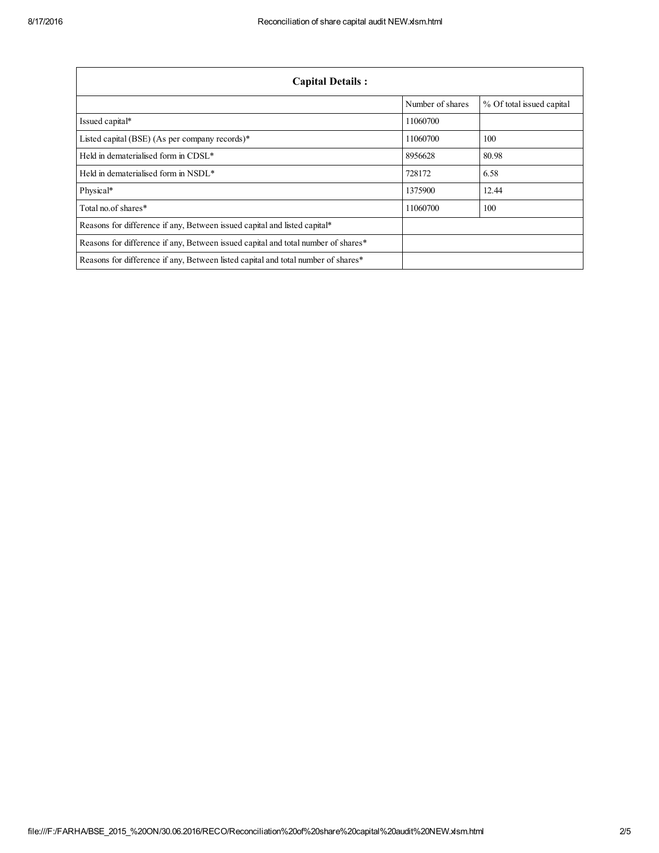| <b>Capital Details:</b>                                                           |                  |                           |  |
|-----------------------------------------------------------------------------------|------------------|---------------------------|--|
|                                                                                   | Number of shares | % Of total issued capital |  |
| Issued capital*                                                                   | 11060700         |                           |  |
| Listed capital (BSE) (As per company records)*                                    | 11060700         | 100                       |  |
| Held in dematerialised form in CDSL*                                              | 8956628          | 80.98                     |  |
| Held in dematerialised form in NSDL*                                              | 728172           | 6.58                      |  |
| Physical*                                                                         | 1375900          | 12.44                     |  |
| Total no. of shares*                                                              | 11060700         | 100                       |  |
| Reasons for difference if any, Between issued capital and listed capital*         |                  |                           |  |
| Reasons for difference if any, Between issued capital and total number of shares* |                  |                           |  |
| Reasons for difference if any, Between listed capital and total number of shares* |                  |                           |  |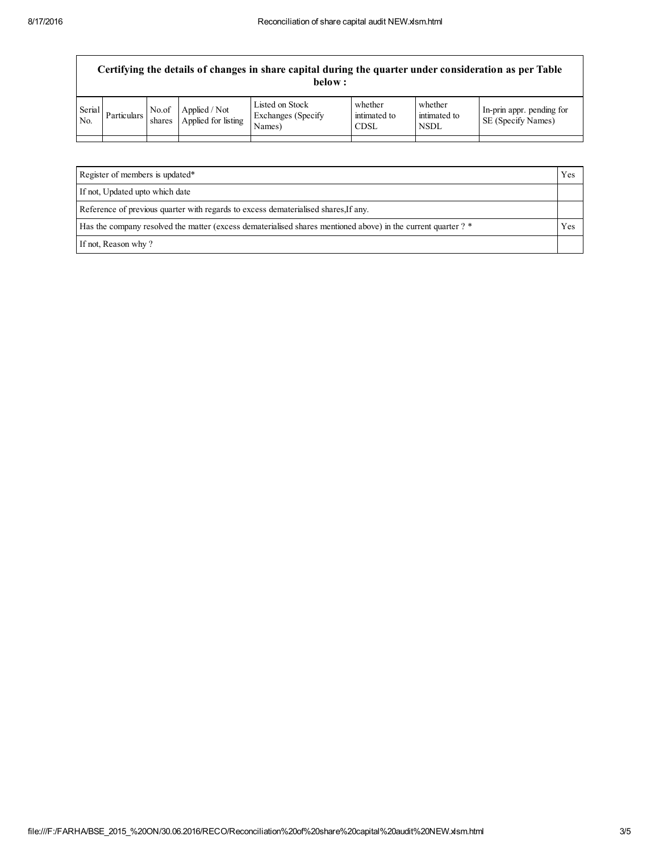$\Gamma$ 

| Certifying the details of changes in share capital during the quarter under consideration as per Table<br>below: |             |                 |                                      |                                                  |                                        |                                        |                                                 |
|------------------------------------------------------------------------------------------------------------------|-------------|-----------------|--------------------------------------|--------------------------------------------------|----------------------------------------|----------------------------------------|-------------------------------------------------|
| Serial<br>N <sub>0</sub>                                                                                         | Particulars | No.of<br>shares | Applied / Not<br>Applied for listing | Listed on Stock<br>Exchanges (Specify)<br>Names) | whether<br>intimated to<br><b>CDSL</b> | whether<br>intimated to<br><b>NSDL</b> | In-prin appr. pending for<br>SE (Specify Names) |
|                                                                                                                  |             |                 |                                      |                                                  |                                        |                                        |                                                 |

| Register of members is updated*                                                                               | Yes |
|---------------------------------------------------------------------------------------------------------------|-----|
| If not, Updated upto which date                                                                               |     |
| Reference of previous quarter with regards to excess dematerialised shares. If any,                           |     |
| Has the company resolved the matter (excess dematerialised shares mentioned above) in the current quarter ? * |     |
| If not, Reason why?                                                                                           |     |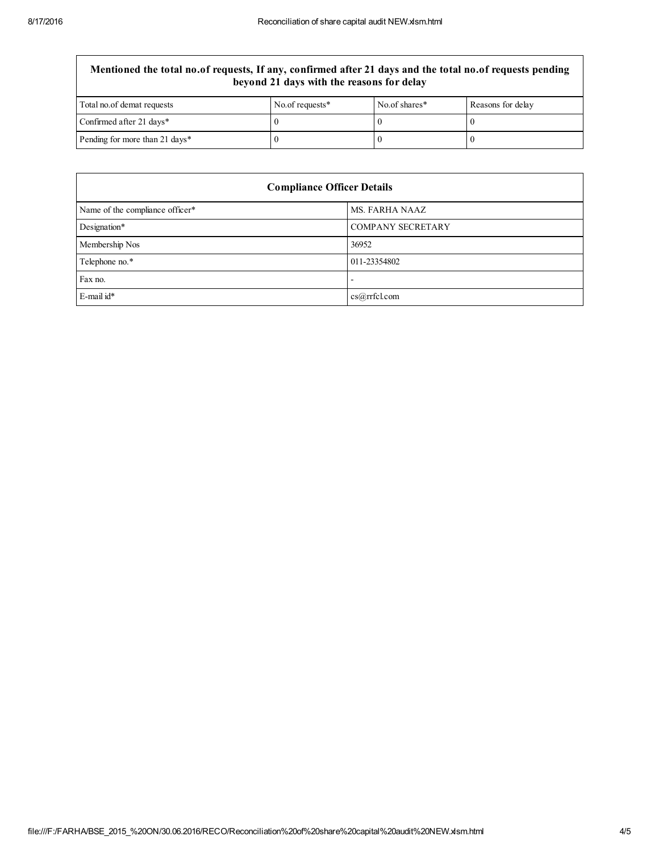## Mentioned the total no.of requests, If any, confirmed after 21 days and the total no.of requests pending beyond 21 days with the reasons for delay

| Total no. of demat requests    | No.of requests* | No.of shares* | Reasons for delay |
|--------------------------------|-----------------|---------------|-------------------|
| Confirmed after 21 days*       |                 |               |                   |
| Pending for more than 21 days* |                 |               |                   |

| <b>Compliance Officer Details</b> |                          |  |
|-----------------------------------|--------------------------|--|
| Name of the compliance officer*   | MS. FARHA NAAZ           |  |
| Designation*                      | <b>COMPANY SECRETARY</b> |  |
| Membership Nos                    | 36952                    |  |
| Telephone no.*                    | 011-23354802             |  |
| Fax no.                           | -                        |  |
| $E$ -mail id*                     | cs@rrfcl.com             |  |